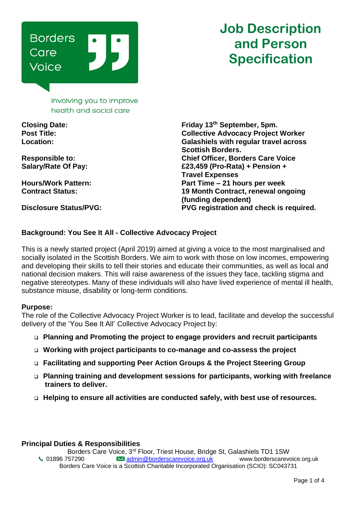

# **Job Description and Person Specification**

Involving you to improve health and social care

**Closing Date: Friday 13th September, 5pm. Post Title: Collective Advocacy Project Worker Location: Galashiels with regular travel across Scottish Borders. Responsible to: Chief Officer, Borders Care Voice Salary/Rate Of Pay: £23,459 (Pro-Rata) + Pension + Travel Expenses Hours/Work Pattern: Part Time – 21 hours per week Contract Status: 19 Month Contract, renewal ongoing (funding dependent) Disclosure Status/PVG: PVG registration and check is required.**

# **Background: You See It All - Collective Advocacy Project**

This is a newly started project (April 2019) aimed at giving a voice to the most marginalised and socially isolated in the Scottish Borders. We aim to work with those on low incomes, empowering and developing their skills to tell their stories and educate their communities, as well as local and national decision makers. This will raise awareness of the issues they face, tackling stigma and negative stereotypes. Many of these individuals will also have lived experience of mental ill health, substance misuse, disability or long-term conditions.

#### **Purpose:**

The role of the Collective Advocacy Project Worker is to lead, facilitate and develop the successful delivery of the 'You See It All' Collective Advocacy Project by:

- ❑ **Planning and Promoting the project to engage providers and recruit participants**
- ❑ **Working with project participants to co-manage and co-assess the project**
- ❑ **Facilitating and supporting Peer Action Groups & the Project Steering Group**
- ❑ **Planning training and development sessions for participants, working with freelance trainers to deliver.**
- ❑ **Helping to ensure all activities are conducted safely, with best use of resources.**

# **Principal Duties & Responsibilities**

Borders Care Voice, 3rd Floor, Triest House, Bridge St, Galashiels TD1 1SW 01896 757290 [admin@borderscarevoice.org.uk](mailto:admin@borderscarevoice.org.uk) www.borderscarevoice.org.uk Borders Care Voice is a Scottish Charitable Incorporated Organisation (SCIO): SC043731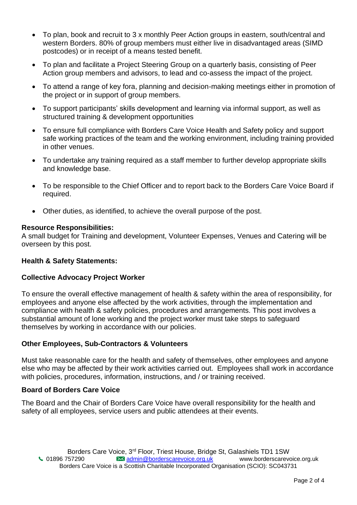- To plan, book and recruit to 3 x monthly Peer Action groups in eastern, south/central and western Borders. 80% of group members must either live in disadvantaged areas (SIMD postcodes) or in receipt of a means tested benefit.
- To plan and facilitate a Project Steering Group on a quarterly basis, consisting of Peer Action group members and advisors, to lead and co-assess the impact of the project.
- To attend a range of key fora, planning and decision-making meetings either in promotion of the project or in support of group members.
- To support participants' skills development and learning via informal support, as well as structured training & development opportunities
- To ensure full compliance with Borders Care Voice Health and Safety policy and support safe working practices of the team and the working environment, including training provided in other venues.
- To undertake any training required as a staff member to further develop appropriate skills and knowledge base.
- To be responsible to the Chief Officer and to report back to the Borders Care Voice Board if required.
- Other duties, as identified, to achieve the overall purpose of the post.

# **Resource Responsibilities:**

A small budget for Training and development, Volunteer Expenses, Venues and Catering will be overseen by this post.

# **Health & Safety Statements:**

# **Collective Advocacy Project Worker**

To ensure the overall effective management of health & safety within the area of responsibility, for employees and anyone else affected by the work activities, through the implementation and compliance with health & safety policies, procedures and arrangements. This post involves a substantial amount of lone working and the project worker must take steps to safeguard themselves by working in accordance with our policies.

# **Other Employees, Sub-Contractors & Volunteers**

Must take reasonable care for the health and safety of themselves, other employees and anyone else who may be affected by their work activities carried out. Employees shall work in accordance with policies, procedures, information, instructions, and / or training received.

# **Board of Borders Care Voice**

The Board and the Chair of Borders Care Voice have overall responsibility for the health and safety of all employees, service users and public attendees at their events.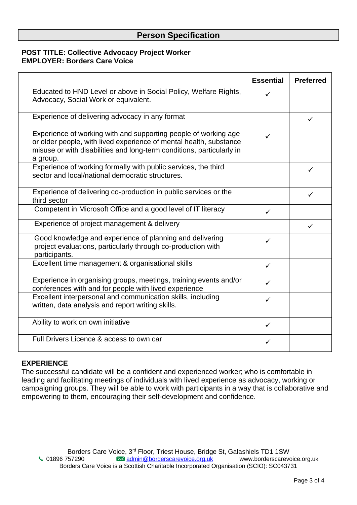# **Person Specification**

# **POST TITLE: Collective Advocacy Project Worker EMPLOYER: Borders Care Voice**

|                                                                                                                                                                                                                            | <b>Essential</b> | <b>Preferred</b> |
|----------------------------------------------------------------------------------------------------------------------------------------------------------------------------------------------------------------------------|------------------|------------------|
| Educated to HND Level or above in Social Policy, Welfare Rights,<br>Advocacy, Social Work or equivalent.                                                                                                                   | ✓                |                  |
| Experience of delivering advocacy in any format                                                                                                                                                                            |                  | ✓                |
| Experience of working with and supporting people of working age<br>or older people, with lived experience of mental health, substance<br>misuse or with disabilities and long-term conditions, particularly in<br>a group. | ✓                |                  |
| Experience of working formally with public services, the third<br>sector and local/national democratic structures.                                                                                                         |                  | ✓                |
| Experience of delivering co-production in public services or the<br>third sector                                                                                                                                           |                  | ✓                |
| Competent in Microsoft Office and a good level of IT literacy                                                                                                                                                              | ✓                |                  |
| Experience of project management & delivery                                                                                                                                                                                |                  | ✓                |
| Good knowledge and experience of planning and delivering<br>project evaluations, particularly through co-production with<br>participants.                                                                                  | ✓                |                  |
| Excellent time management & organisational skills                                                                                                                                                                          | $\checkmark$     |                  |
| Experience in organising groups, meetings, training events and/or<br>conferences with and for people with lived experience                                                                                                 | ✓                |                  |
| Excellent interpersonal and communication skills, including<br>written, data analysis and report writing skills.                                                                                                           | ✓                |                  |
| Ability to work on own initiative                                                                                                                                                                                          | $\checkmark$     |                  |
| Full Drivers Licence & access to own car                                                                                                                                                                                   | ✓                |                  |

# **EXPERIENCE**

The successful candidate will be a confident and experienced worker; who is comfortable in leading and facilitating meetings of individuals with lived experience as advocacy, working or campaigning groups. They will be able to work with participants in a way that is collaborative and empowering to them, encouraging their self-development and confidence.